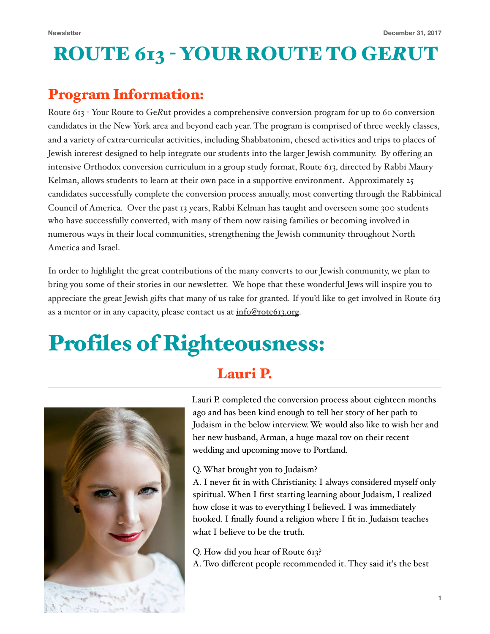## ROUTE 613 - YOUR ROUTE TO GE*R*UT

### Program Information:

Route 613 - Your Route to Ge*R*ut provides a comprehensive conversion program for up to 60 conversion candidates in the New York area and beyond each year. The program is comprised of three weekly classes, and a variety of extra-curricular activities, including Shabbatonim, chesed activities and trips to places of Jewish interest designed to help integrate our students into the larger Jewish community. By offering an intensive Orthodox conversion curriculum in a group study format, Route 613, directed by Rabbi Maury Kelman, allows students to learn at their own pace in a supportive environment. Approximately 25 candidates successfully complete the conversion process annually, most converting through the Rabbinical Council of America. Over the past 13 years, Rabbi Kelman has taught and overseen some 300 students who have successfully converted, with many of them now raising families or becoming involved in numerous ways in their local communities, strengthening the Jewish community throughout North America and Israel.

In order to highlight the great contributions of the many converts to our Jewish community, we plan to bring you some of their stories in our newsletter. We hope that these wonderful Jews will inspire you to appreciate the great Jewish gifts that many of us take for granted. If you'd like to get involved in Route 613 as a mentor or in any capacity, please contact us at [info@rote613.org.](mailto:info@rote613.org)

# Profiles of Righteousness:

### Lauri P.



Lauri P. completed the conversion process about eighteen months ago and has been kind enough to tell her story of her path to Judaism in the below interview. We would also like to wish her and her new husband, Arman, a huge mazal tov on their recent wedding and upcoming move to Portland.

### Q. What brought you to Judaism?

A. I never fit in with Christianity. I always considered myself only spiritual. When I first starting learning about Judaism, I realized how close it was to everything I believed. I was immediately hooked. I finally found a religion where I fit in. Judaism teaches what I believe to be the truth.

Q. How did you hear of Route 613? A. Two different people recommended it. They said it's the best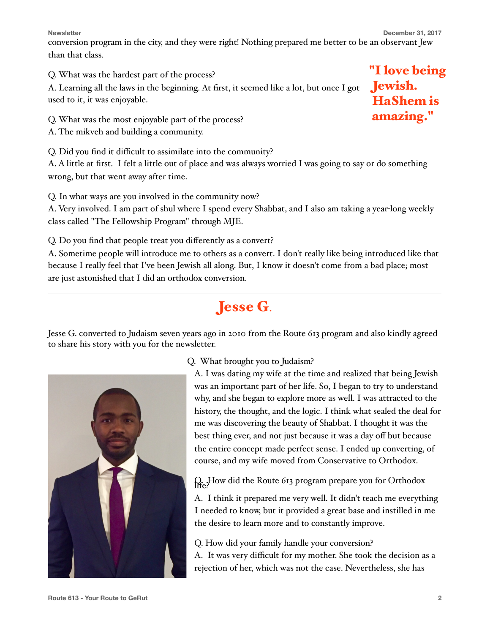**Newsletter** December 31, 2017

conversion program in the city, and they were right! Nothing prepared me better to be an observant Jew than that class.

Q. What was the hardest part of the process?

A. Learning all the laws in the beginning. At first, it seemed like a lot, but once I got used to it, it was enjoyable.

Q. What was the most enjoyable part of the process?

A. The mikveh and building a community.

Q. Did you find it difficult to assimilate into the community?

A. A little at first. I felt a little out of place and was always worried I was going to say or do something wrong, but that went away after time.

Q. In what ways are you involved in the community now?

A. Very involved. I am part of shul where I spend every Shabbat, and I also am taking a year-long weekly class called "The Fellowship Program" through MJE.

Q. Do you find that people treat you differently as a convert?

A. Sometime people will introduce me to others as a convert. I don't really like being introduced like that because I really feel that I've been Jewish all along. But, I know it doesn't come from a bad place; most are just astonished that I did an orthodox conversion.

## Jesse G.

Jesse G. converted to Judaism seven years ago in 2010 from the Route 613 program and also kindly agreed to share his story with you for the newsletter.

Q. What brought you to Judaism?

A. I was dating my wife at the time and realized that being Jewish was an important part of her life. So, I began to try to understand why, and she began to explore more as well. I was attracted to the history, the thought, and the logic. I think what sealed the deal for me was discovering the beauty of Shabbat. I thought it was the best thing ever, and not just because it was a day off but because the entire concept made perfect sense. I ended up converting, of course, and my wife moved from Conservative to Orthodox.

 $Q<sub>e</sub>$ How did the Route 613 program prepare you for Orthodox

A. I think it prepared me very well. It didn't teach me everything I needed to know, but it provided a great base and instilled in me the desire to learn more and to constantly improve.

Q. How did your family handle your conversion? A. It was very difficult for my mother. She took the decision as a rejection of her, which was not the case. Nevertheless, she has

"I love being